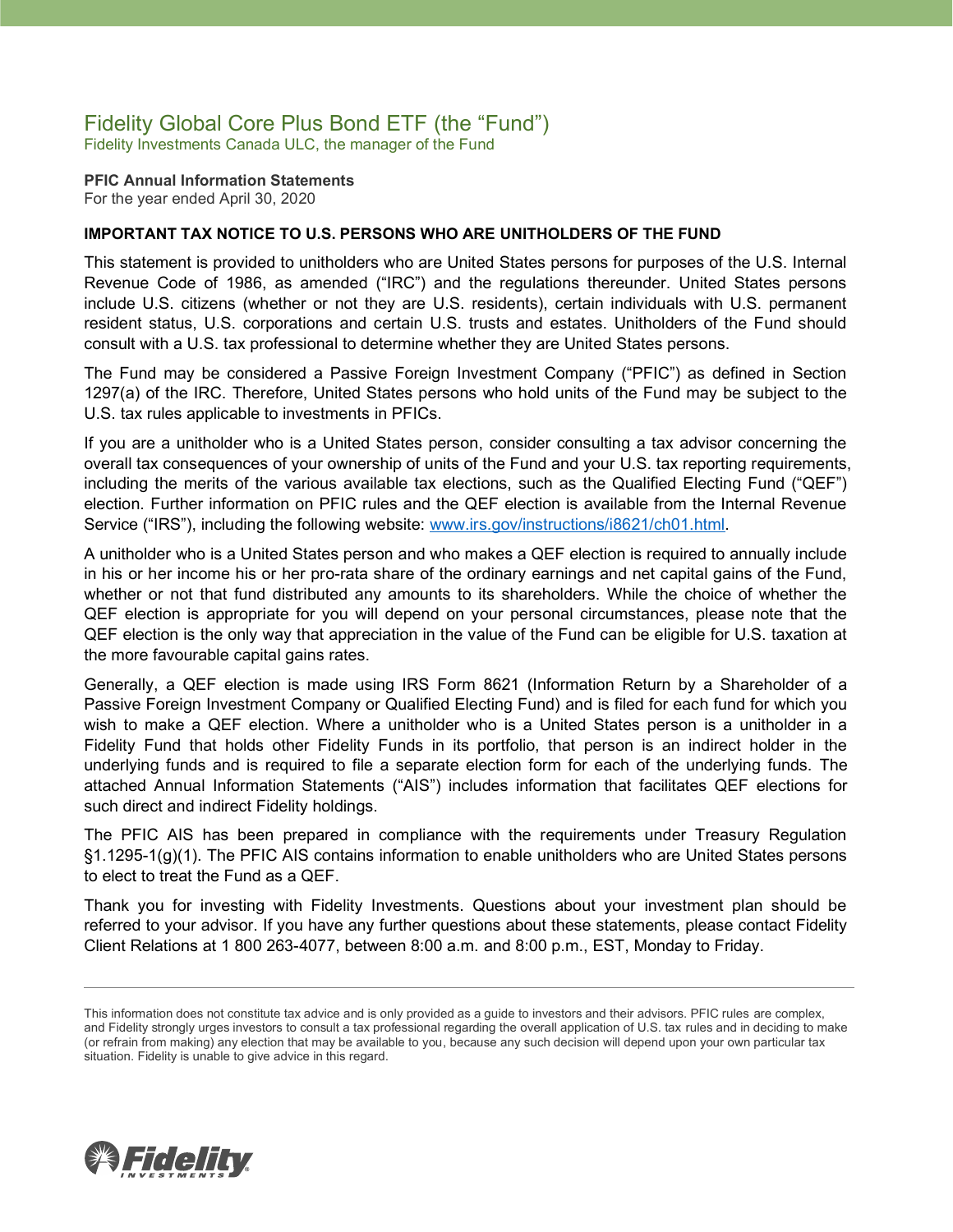## Fidelity Global Core Plus Bond ETF (the "Fund")

Fidelity Investments Canada ULC, the manager of the Fund

**PFIC Annual Information Statements** For the year ended April 30, 2020

### **IMPORTANT TAX NOTICE TO U.S. PERSONS WHO ARE UNITHOLDERS OF THE FUND**

This statement is provided to unitholders who are United States persons for purposes of the U.S. Internal Revenue Code of 1986, as amended ("IRC") and the regulations thereunder. United States persons include U.S. citizens (whether or not they are U.S. residents), certain individuals with U.S. permanent resident status, U.S. corporations and certain U.S. trusts and estates. Unitholders of the Fund should consult with a U.S. tax professional to determine whether they are United States persons.

The Fund may be considered a Passive Foreign Investment Company ("PFIC") as defined in Section 1297(a) of the IRC. Therefore, United States persons who hold units of the Fund may be subject to the U.S. tax rules applicable to investments in PFICs.

If you are a unitholder who is a United States person, consider consulting a tax advisor concerning the overall tax consequences of your ownership of units of the Fund and your U.S. tax reporting requirements, including the merits of the various available tax elections, such as the Qualified Electing Fund ("QEF") election. Further information on PFIC rules and the QEF election is available from the Internal Revenue Service ("IRS"), including the following website: [www.irs.gov/instructions/i8621/ch01.html.](http://www.irs.gov/instructions/i8621/ch01.html)

A unitholder who is a United States person and who makes a QEF election is required to annually include in his or her income his or her pro-rata share of the ordinary earnings and net capital gains of the Fund, whether or not that fund distributed any amounts to its shareholders. While the choice of whether the QEF election is appropriate for you will depend on your personal circumstances, please note that the QEF election is the only way that appreciation in the value of the Fund can be eligible for U.S. taxation at the more favourable capital gains rates.

Generally, a QEF election is made using IRS Form 8621 (Information Return by a Shareholder of a Passive Foreign Investment Company or Qualified Electing Fund) and is filed for each fund for which you wish to make a QEF election. Where a unitholder who is a United States person is a unitholder in a Fidelity Fund that holds other Fidelity Funds in its portfolio, that person is an indirect holder in the underlying funds and is required to file a separate election form for each of the underlying funds. The attached Annual Information Statements ("AIS") includes information that facilitates QEF elections for such direct and indirect Fidelity holdings.

The PFIC AIS has been prepared in compliance with the requirements under Treasury Regulation §1.1295-1(g)(1). The PFIC AIS contains information to enable unitholders who are United States persons to elect to treat the Fund as a QEF.

Thank you for investing with Fidelity Investments. Questions about your investment plan should be referred to your advisor. If you have any further questions about these statements, please contact Fidelity Client Relations at 1 800 263-4077, between 8:00 a.m. and 8:00 p.m., EST, Monday to Friday.



This information does not constitute tax advice and is only provided as a guide to investors and their advisors. PFIC rules are complex, and Fidelity strongly urges investors to consult a tax professional regarding the overall application of U.S. tax rules and in deciding to make (or refrain from making) any election that may be available to you, because any such decision will depend upon your own particular tax situation. Fidelity is unable to give advice in this regard.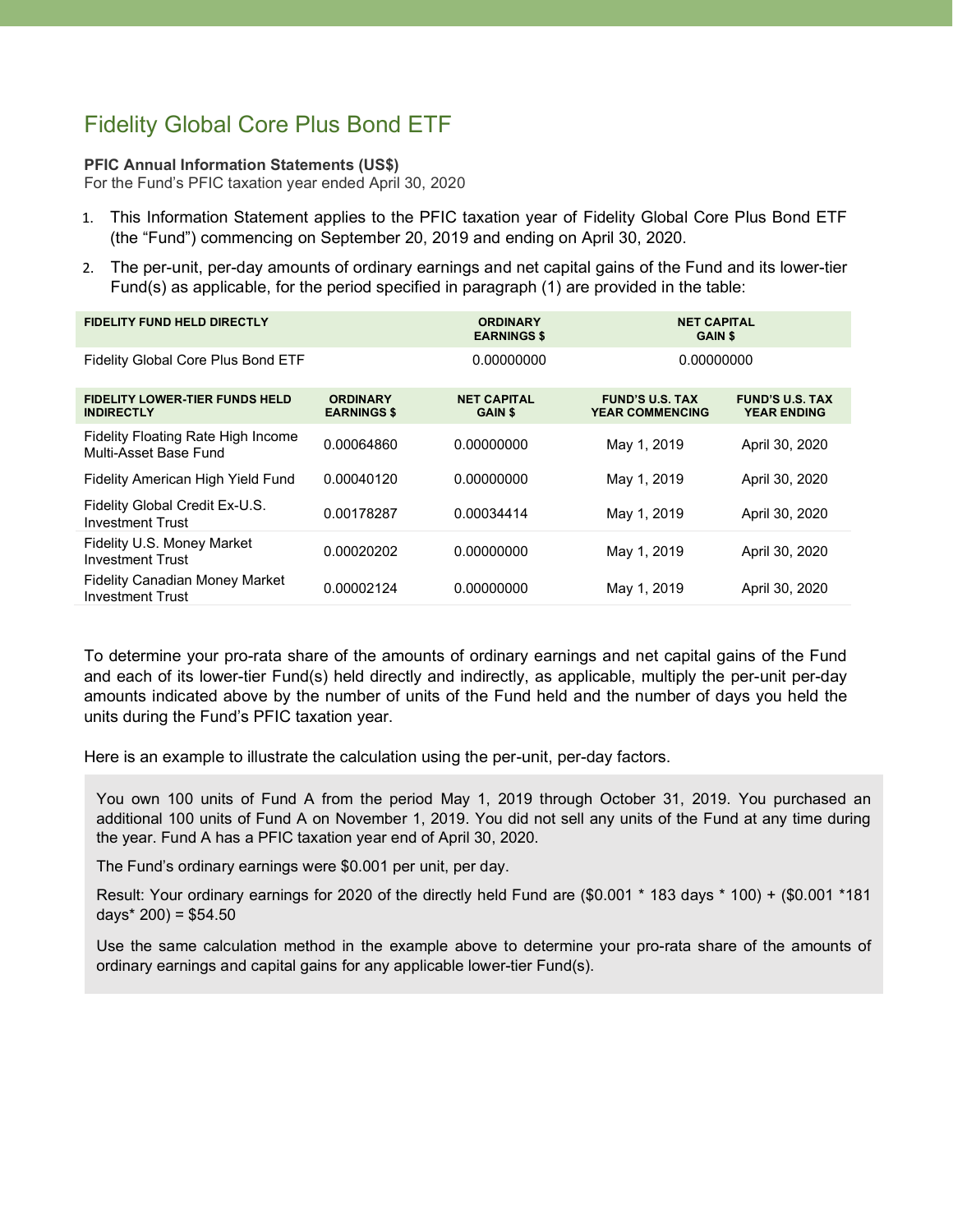## Fidelity Global Core Plus Bond ETF

#### **PFIC Annual Information Statements (US\$)**

For the Fund's PFIC taxation year ended April 30, 2020

- 1. This Information Statement applies to the PFIC taxation year of Fidelity Global Core Plus Bond ETF (the "Fund") commencing on September 20, 2019 and ending on April 30, 2020.
- 2. The per-unit, per-day amounts of ordinary earnings and net capital gains of the Fund and its lower-tier Fund(s) as applicable, for the period specified in paragraph (1) are provided in the table:

| <b>FIDELITY FUND HELD DIRECTLY</b>                               |                                       | <b>ORDINARY</b><br><b>EARNINGS \$</b> | <b>NET CAPITAL</b><br><b>GAIN \$</b>             |                                              |
|------------------------------------------------------------------|---------------------------------------|---------------------------------------|--------------------------------------------------|----------------------------------------------|
| Fidelity Global Core Plus Bond ETF                               |                                       | 0.00000000                            | 0.00000000                                       |                                              |
| <b>FIDELITY LOWER-TIER FUNDS HELD</b><br><b>INDIRECTLY</b>       | <b>ORDINARY</b><br><b>EARNINGS \$</b> | <b>NET CAPITAL</b><br><b>GAIN \$</b>  | <b>FUND'S U.S. TAX</b><br><b>YEAR COMMENCING</b> | <b>FUND'S U.S. TAX</b><br><b>YEAR ENDING</b> |
| Fidelity Floating Rate High Income<br>Multi-Asset Base Fund      | 0.00064860                            | 0.00000000                            | May 1, 2019                                      | April 30, 2020                               |
| Fidelity American High Yield Fund                                | 0.00040120                            | 0.00000000                            | May 1, 2019                                      | April 30, 2020                               |
| Fidelity Global Credit Ex-U.S.<br><b>Investment Trust</b>        | 0.00178287                            | 0.00034414                            | May 1, 2019                                      | April 30, 2020                               |
| Fidelity U.S. Money Market<br><b>Investment Trust</b>            | 0.00020202                            | 0.00000000                            | May 1, 2019                                      | April 30, 2020                               |
| <b>Fidelity Canadian Money Market</b><br><b>Investment Trust</b> | 0.00002124                            | 0.00000000                            | May 1, 2019                                      | April 30, 2020                               |

To determine your pro-rata share of the amounts of ordinary earnings and net capital gains of the Fund and each of its lower-tier Fund(s) held directly and indirectly, as applicable, multiply the per-unit per-day amounts indicated above by the number of units of the Fund held and the number of days you held the units during the Fund's PFIC taxation year.

Here is an example to illustrate the calculation using the per-unit, per-day factors.

You own 100 units of Fund A from the period May 1, 2019 through October 31, 2019. You purchased an additional 100 units of Fund A on November 1, 2019. You did not sell any units of the Fund at any time during the year. Fund A has a PFIC taxation year end of April 30, 2020.

The Fund's ordinary earnings were \$0.001 per unit, per day.

Result: Your ordinary earnings for 2020 of the directly held Fund are (\$0.001 \* 183 days \* 100) + (\$0.001 \*181 days $*$  200) = \$54.50

Use the same calculation method in the example above to determine your pro-rata share of the amounts of ordinary earnings and capital gains for any applicable lower-tier Fund(s).